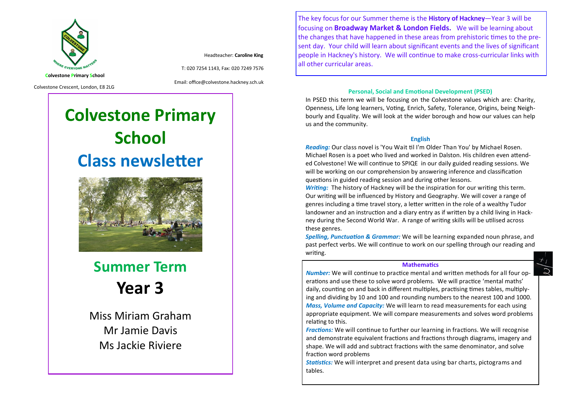

Headteacher: **Caroline King**

T: 020 7254 1143, Fax: 020 7249 7576

Colvestone Crescent, London, E8 2LG

Email: office@colvestone.hackney.sch.uk

# **Colvestone Primary School Class newsletter**



**Summer Term Year 3**

Miss Miriam Graham Mr Jamie Davis Ms Jackie Riviere

The key focus for our Summer theme is the **History of Hackney**—Year 3 will be focusing on **Broadway Market & London Fields.** We will be learning about the changes that have happened in these areas from prehistoric times to the present day. Your child will learn about significant events and the lives of significant people in Hackney's history. We will continue to make cross-curricular links with all other curricular areas.

## **Personal, Social and Emotional Development (PSED)**

In PSED this term we will be focusing on the Colvestone values which are: Charity, Openness, Life long learners, Voting, Enrich, Safety, Tolerance, Origins, being Neighbourly and Equality. We will look at the wider borough and how our values can help us and the community.

#### **English**

*Reading:* Our class novel is 'You Wait til I'm Older Than You' by Michael Rosen. Michael Rosen is a poet who lived and worked in Dalston. His children even attended Colvestone! We will continue to SPIQE in our daily guided reading sessions. We will be working on our comprehension by answering inference and classification questions in guided reading session and during other lessons.

*Writing:* The history of Hackney will be the inspiration for our writing this term. Our writing will be influenced by History and Geography. We will cover a range of genres including a time travel story, a letter written in the role of a wealthy Tudor landowner and an instruction and a diary entry as if written by a child living in Hackney during the Second World War. A range of writing skills will be utilised across these genres.

*Spelling, Punctuation & Grammar:* We will be learning expanded noun phrase, and past perfect verbs. We will continue to work on our spelling through our reading and writing.

#### **Mathematics**

*Number:* We will continue to practice mental and written methods for all four operations and use these to solve word problems. We will practice 'mental maths' daily, counting on and back in different multiples, practising times tables, multiplying and dividing by 10 and 100 and rounding numbers to the nearest 100 and 1000. *Mass, Volume and Capacity:* We will learn to read measurements for each using appropriate equipment. We will compare measurements and solves word problems relating to this.

*Fractions:* We will continue to further our learning in fractions. We will recognise and demonstrate equivalent fractions and fractions through diagrams, imagery and shape. We will add and subtract fractions with the same denominator, and solve fraction word problems

*Statistics:* We will interpret and present data using bar charts, pictograms and tables.